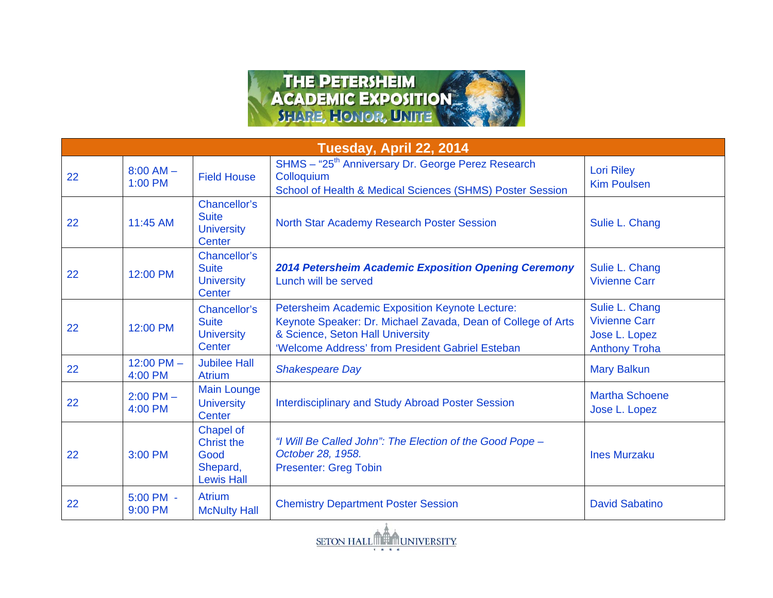

| Tuesday, April 22, 2014 |                          |                                                                         |                                                                                                                                                                                                         |                                                                                 |
|-------------------------|--------------------------|-------------------------------------------------------------------------|---------------------------------------------------------------------------------------------------------------------------------------------------------------------------------------------------------|---------------------------------------------------------------------------------|
| 22                      | $8:00$ AM $-$<br>1:00 PM | <b>Field House</b>                                                      | SHMS - "25 <sup>th</sup> Anniversary Dr. George Perez Research<br>Colloquium<br>School of Health & Medical Sciences (SHMS) Poster Session                                                               | <b>Lori Riley</b><br><b>Kim Poulsen</b>                                         |
| 22                      | 11:45 AM                 | Chancellor's<br><b>Suite</b><br><b>University</b><br>Center             | North Star Academy Research Poster Session                                                                                                                                                              | Sulie L. Chang                                                                  |
| 22                      | 12:00 PM                 | Chancellor's<br><b>Suite</b><br><b>University</b><br>Center             | <b>2014 Petersheim Academic Exposition Opening Ceremony</b><br>Lunch will be served                                                                                                                     | Sulie L. Chang<br><b>Vivienne Carr</b>                                          |
| 22                      | 12:00 PM                 | Chancellor's<br><b>Suite</b><br><b>University</b><br>Center             | Petersheim Academic Exposition Keynote Lecture:<br>Keynote Speaker: Dr. Michael Zavada, Dean of College of Arts<br>& Science, Seton Hall University<br>'Welcome Address' from President Gabriel Esteban | Sulie L. Chang<br><b>Vivienne Carr</b><br>Jose L. Lopez<br><b>Anthony Troha</b> |
| 22                      | 12:00 PM $-$<br>4:00 PM  | <b>Jubilee Hall</b><br><b>Atrium</b>                                    | <b>Shakespeare Day</b>                                                                                                                                                                                  | <b>Mary Balkun</b>                                                              |
| 22                      | $2:00$ PM $-$<br>4:00 PM | <b>Main Lounge</b><br><b>University</b><br>Center                       | <b>Interdisciplinary and Study Abroad Poster Session</b>                                                                                                                                                | <b>Martha Schoene</b><br>Jose L. Lopez                                          |
| 22                      | 3:00 PM                  | Chapel of<br><b>Christ the</b><br>Good<br>Shepard,<br><b>Lewis Hall</b> | "I Will Be Called John": The Election of the Good Pope -<br>October 28, 1958.<br><b>Presenter: Greg Tobin</b>                                                                                           | <b>Ines Murzaku</b>                                                             |
| 22                      | 5:00 PM -<br>9:00 PM     | <b>Atrium</b><br><b>McNulty Hall</b>                                    | <b>Chemistry Department Poster Session</b>                                                                                                                                                              | <b>David Sabatino</b>                                                           |

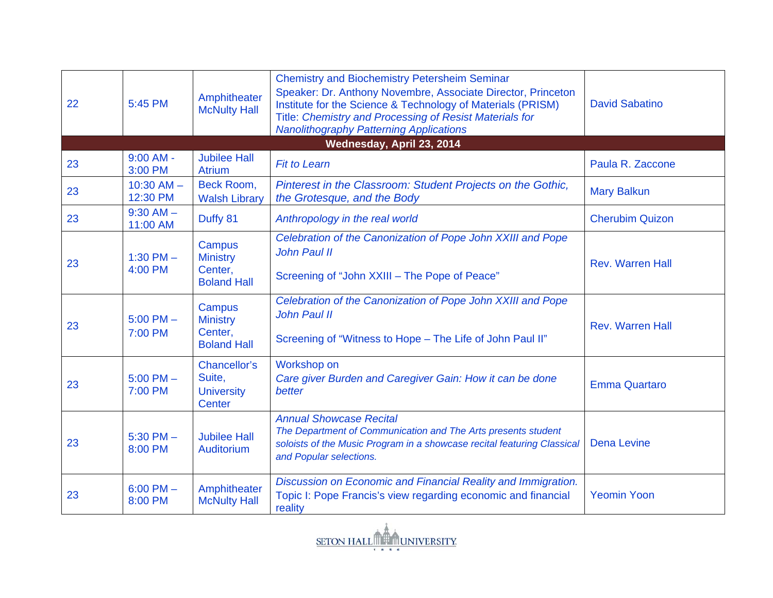| 22 | 5:45 PM                    | Amphitheater<br><b>McNulty Hall</b>                          | <b>Chemistry and Biochemistry Petersheim Seminar</b><br>Speaker: Dr. Anthony Novembre, Associate Director, Princeton<br>Institute for the Science & Technology of Materials (PRISM)<br>Title: Chemistry and Processing of Resist Materials for<br><b>Nanolithography Patterning Applications</b> | <b>David Sabatino</b>   |
|----|----------------------------|--------------------------------------------------------------|--------------------------------------------------------------------------------------------------------------------------------------------------------------------------------------------------------------------------------------------------------------------------------------------------|-------------------------|
|    |                            |                                                              | Wednesday, April 23, 2014                                                                                                                                                                                                                                                                        |                         |
| 23 | $9:00$ AM -<br>3:00 PM     | <b>Jubilee Hall</b><br><b>Atrium</b>                         | <b>Fit to Learn</b>                                                                                                                                                                                                                                                                              | Paula R. Zaccone        |
| 23 | $10:30$ AM $-$<br>12:30 PM | Beck Room,<br><b>Walsh Library</b>                           | Pinterest in the Classroom: Student Projects on the Gothic,<br>the Grotesque, and the Body                                                                                                                                                                                                       | <b>Mary Balkun</b>      |
| 23 | $9:30$ AM $-$<br>11:00 AM  | Duffy 81                                                     | Anthropology in the real world                                                                                                                                                                                                                                                                   | <b>Cherubim Quizon</b>  |
| 23 | 1:30 PM $-$<br>4:00 PM     | Campus<br><b>Ministry</b><br>Center,<br><b>Boland Hall</b>   | Celebration of the Canonization of Pope John XXIII and Pope<br>John Paul II<br>Screening of "John XXIII - The Pope of Peace"                                                                                                                                                                     | Rev. Warren Hall        |
| 23 | $5:00$ PM $-$<br>7:00 PM   | Campus<br><b>Ministry</b><br>Center,<br><b>Boland Hall</b>   | Celebration of the Canonization of Pope John XXIII and Pope<br>John Paul II<br>Screening of "Witness to Hope - The Life of John Paul II"                                                                                                                                                         | <b>Rev. Warren Hall</b> |
| 23 | $5:00$ PM $-$<br>7:00 PM   | Chancellor's<br>Suite,<br><b>University</b><br><b>Center</b> | Workshop on<br>Care giver Burden and Caregiver Gain: How it can be done<br>better                                                                                                                                                                                                                | <b>Emma Quartaro</b>    |
| 23 | $5:30$ PM $-$<br>8:00 PM   | <b>Jubilee Hall</b><br>Auditorium                            | <b>Annual Showcase Recital</b><br>The Department of Communication and The Arts presents student<br>soloists of the Music Program in a showcase recital featuring Classical<br>and Popular selections.                                                                                            | <b>Dena Levine</b>      |
| 23 | $6:00$ PM $-$<br>8:00 PM   | Amphitheater<br><b>McNulty Hall</b>                          | Discussion on Economic and Financial Reality and Immigration.<br>Topic I: Pope Francis's view regarding economic and financial<br>reality                                                                                                                                                        | <b>Yeomin Yoon</b>      |

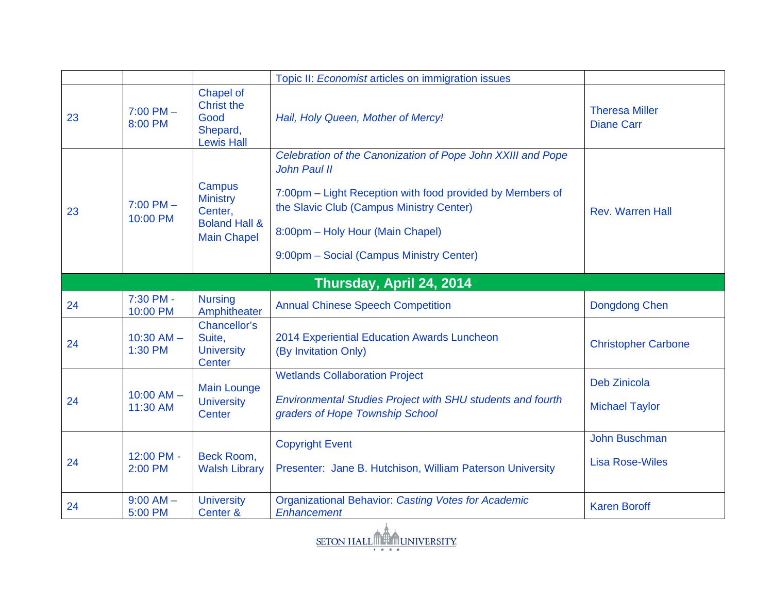|    |                            |                                                                                        | Topic II: Economist articles on immigration issues                                                                                                                                                                                                                   |                                                |
|----|----------------------------|----------------------------------------------------------------------------------------|----------------------------------------------------------------------------------------------------------------------------------------------------------------------------------------------------------------------------------------------------------------------|------------------------------------------------|
| 23 | $7:00$ PM $-$<br>8:00 PM   | Chapel of<br><b>Christ the</b><br>Good<br>Shepard,<br><b>Lewis Hall</b>                | Hail, Holy Queen, Mother of Mercy!                                                                                                                                                                                                                                   | <b>Theresa Miller</b><br><b>Diane Carr</b>     |
| 23 | $7:00$ PM $-$<br>10:00 PM  | Campus<br><b>Ministry</b><br>Center,<br><b>Boland Hall &amp;</b><br><b>Main Chapel</b> | Celebration of the Canonization of Pope John XXIII and Pope<br>John Paul II<br>7:00pm – Light Reception with food provided by Members of<br>the Slavic Club (Campus Ministry Center)<br>8:00pm - Holy Hour (Main Chapel)<br>9:00pm - Social (Campus Ministry Center) | <b>Rev. Warren Hall</b>                        |
|    |                            |                                                                                        | Thursday, April 24, 2014                                                                                                                                                                                                                                             |                                                |
| 24 | 7:30 PM -<br>10:00 PM      | <b>Nursing</b><br>Amphitheater                                                         | <b>Annual Chinese Speech Competition</b>                                                                                                                                                                                                                             | <b>Dongdong Chen</b>                           |
| 24 | $10:30$ AM $-$<br>1:30 PM  | Chancellor's<br>Suite,<br><b>University</b><br><b>Center</b>                           | 2014 Experiential Education Awards Luncheon<br>(By Invitation Only)                                                                                                                                                                                                  | <b>Christopher Carbone</b>                     |
| 24 | $10:00$ AM $-$<br>11:30 AM | <b>Main Lounge</b><br><b>University</b><br><b>Center</b>                               | <b>Wetlands Collaboration Project</b><br><b>Environmental Studies Project with SHU students and fourth</b><br>graders of Hope Township School                                                                                                                        | <b>Deb Zinicola</b><br><b>Michael Taylor</b>   |
| 24 | 12:00 PM -<br>2:00 PM      | Beck Room,<br><b>Walsh Library</b>                                                     | <b>Copyright Event</b><br>Presenter: Jane B. Hutchison, William Paterson University                                                                                                                                                                                  | <b>John Buschman</b><br><b>Lisa Rose-Wiles</b> |
| 24 | $9:00$ AM $-$<br>5:00 PM   | <b>University</b><br>Center &                                                          | <b>Organizational Behavior: Casting Votes for Academic</b><br>Enhancement                                                                                                                                                                                            | <b>Karen Boroff</b>                            |

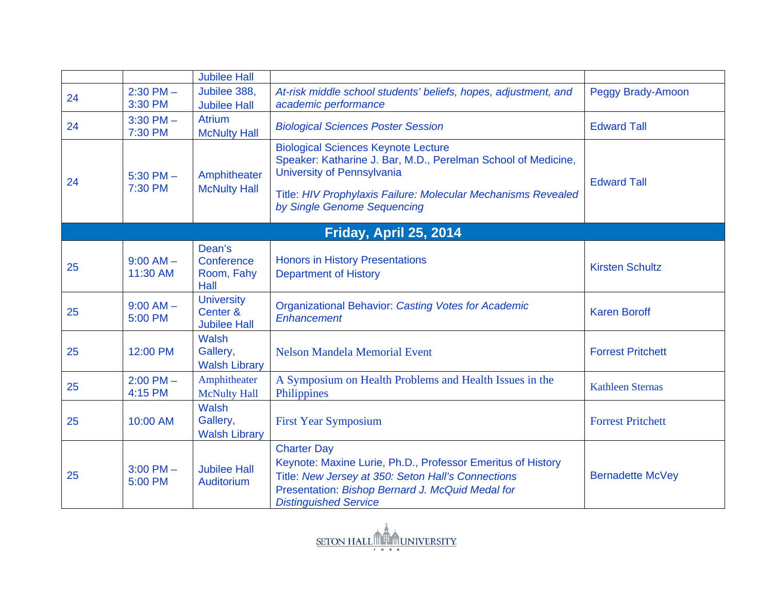|    |                          | <b>Jubilee Hall</b>                                  |                                                                                                                                                                                                                                           |                          |  |  |  |
|----|--------------------------|------------------------------------------------------|-------------------------------------------------------------------------------------------------------------------------------------------------------------------------------------------------------------------------------------------|--------------------------|--|--|--|
| 24 | $2:30$ PM $-$<br>3:30 PM | Jubilee 388,<br><b>Jubilee Hall</b>                  | At-risk middle school students' beliefs, hopes, adjustment, and<br>academic performance                                                                                                                                                   | <b>Peggy Brady-Amoon</b> |  |  |  |
| 24 | $3:30$ PM $-$<br>7:30 PM | <b>Atrium</b><br><b>McNulty Hall</b>                 | <b>Biological Sciences Poster Session</b>                                                                                                                                                                                                 | <b>Edward Tall</b>       |  |  |  |
| 24 | $5:30$ PM $-$<br>7:30 PM | Amphitheater<br><b>McNulty Hall</b>                  | <b>Biological Sciences Keynote Lecture</b><br>Speaker: Katharine J. Bar, M.D., Perelman School of Medicine,<br>University of Pennsylvania<br>Title: HIV Prophylaxis Failure: Molecular Mechanisms Revealed<br>by Single Genome Sequencing | <b>Edward Tall</b>       |  |  |  |
|    | Friday, April 25, 2014   |                                                      |                                                                                                                                                                                                                                           |                          |  |  |  |
| 25 | $9:00 AM -$<br>11:30 AM  | Dean's<br>Conference<br>Room, Fahy<br>Hall           | <b>Honors in History Presentations</b><br><b>Department of History</b>                                                                                                                                                                    | <b>Kirsten Schultz</b>   |  |  |  |
| 25 | $9:00$ AM $-$<br>5:00 PM | <b>University</b><br>Center &<br><b>Jubilee Hall</b> | <b>Organizational Behavior: Casting Votes for Academic</b><br>Enhancement                                                                                                                                                                 | <b>Karen Boroff</b>      |  |  |  |
| 25 | 12:00 PM                 | <b>Walsh</b><br>Gallery,<br><b>Walsh Library</b>     | <b>Nelson Mandela Memorial Event</b>                                                                                                                                                                                                      | <b>Forrest Pritchett</b> |  |  |  |
| 25 | $2:00$ PM $-$<br>4:15 PM | Amphitheater<br><b>McNulty Hall</b>                  | A Symposium on Health Problems and Health Issues in the<br>Philippines                                                                                                                                                                    | <b>Kathleen Sternas</b>  |  |  |  |
| 25 | 10:00 AM                 | <b>Walsh</b><br>Gallery,<br><b>Walsh Library</b>     | <b>First Year Symposium</b>                                                                                                                                                                                                               | <b>Forrest Pritchett</b> |  |  |  |
| 25 | $3:00$ PM $-$<br>5:00 PM | <b>Jubilee Hall</b><br>Auditorium                    | <b>Charter Day</b><br>Keynote: Maxine Lurie, Ph.D., Professor Emeritus of History<br>Title: New Jersey at 350: Seton Hall's Connections<br>Presentation: Bishop Bernard J. McQuid Medal for<br><b>Distinguished Service</b>               | <b>Bernadette McVey</b>  |  |  |  |

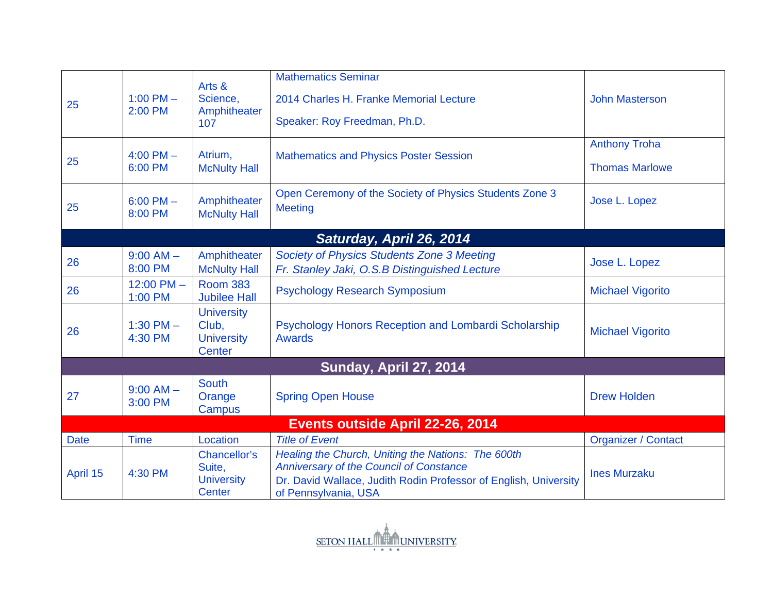|                                  |                          |                                                                  | <b>Mathematics Seminar</b>                                                                                                                                                                       |                                               |  |  |
|----------------------------------|--------------------------|------------------------------------------------------------------|--------------------------------------------------------------------------------------------------------------------------------------------------------------------------------------------------|-----------------------------------------------|--|--|
| 25                               | 1:00 PM $-$<br>2:00 PM   | Arts &<br>Science,<br>Amphitheater<br>107                        | 2014 Charles H. Franke Memorial Lecture<br>Speaker: Roy Freedman, Ph.D.                                                                                                                          | <b>John Masterson</b>                         |  |  |
| 25                               | $4:00$ PM $-$<br>6:00 PM | Atrium,<br><b>McNulty Hall</b>                                   | <b>Mathematics and Physics Poster Session</b>                                                                                                                                                    | <b>Anthony Troha</b><br><b>Thomas Marlowe</b> |  |  |
| 25                               | $6:00$ PM $-$<br>8:00 PM | Amphitheater<br><b>McNulty Hall</b>                              | Open Ceremony of the Society of Physics Students Zone 3<br><b>Meeting</b>                                                                                                                        | Jose L. Lopez                                 |  |  |
|                                  | Saturday, April 26, 2014 |                                                                  |                                                                                                                                                                                                  |                                               |  |  |
| 26                               | $9:00$ AM $-$<br>8:00 PM | Amphitheater<br><b>McNulty Hall</b>                              | <b>Society of Physics Students Zone 3 Meeting</b><br>Fr. Stanley Jaki, O.S.B Distinguished Lecture                                                                                               | Jose L. Lopez                                 |  |  |
| 26                               | 12:00 PM $-$<br>1:00 PM  | <b>Room 383</b><br><b>Jubilee Hall</b>                           | <b>Psychology Research Symposium</b>                                                                                                                                                             | <b>Michael Vigorito</b>                       |  |  |
| 26                               | 1:30 PM $-$<br>4:30 PM   | <b>University</b><br>Club,<br><b>University</b><br><b>Center</b> | Psychology Honors Reception and Lombardi Scholarship<br><b>Awards</b>                                                                                                                            | <b>Michael Vigorito</b>                       |  |  |
| <b>Sunday, April 27, 2014</b>    |                          |                                                                  |                                                                                                                                                                                                  |                                               |  |  |
| 27                               | $9:00$ AM $-$<br>3:00 PM | <b>South</b><br>Orange<br>Campus                                 | <b>Spring Open House</b>                                                                                                                                                                         | <b>Drew Holden</b>                            |  |  |
| Events outside April 22-26, 2014 |                          |                                                                  |                                                                                                                                                                                                  |                                               |  |  |
| <b>Date</b>                      | <b>Time</b>              | Location                                                         | <b>Title of Event</b>                                                                                                                                                                            | <b>Organizer / Contact</b>                    |  |  |
| April 15                         | 4:30 PM                  | <b>Chancellor's</b><br>Suite,<br><b>University</b><br>Center     | Healing the Church, Uniting the Nations: The 600th<br><b>Anniversary of the Council of Constance</b><br>Dr. David Wallace, Judith Rodin Professor of English, University<br>of Pennsylvania, USA | <b>Ines Murzaku</b>                           |  |  |